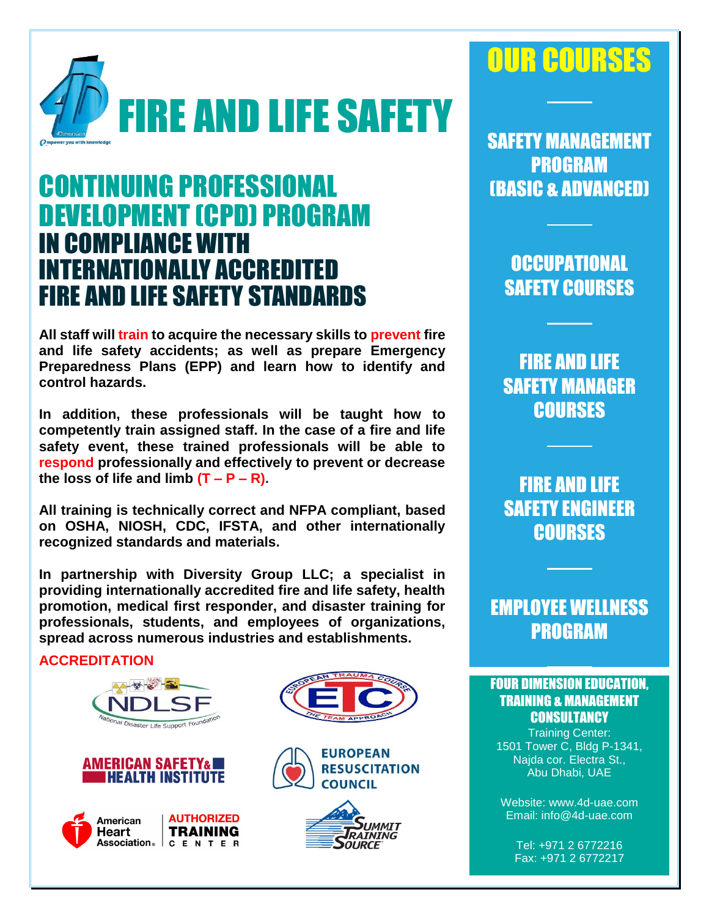

# CONTINUING PROFESSIONAL DEVELOPMENT (CPD) PROGRAM IN COMPLIANCE WITH INTERNATIONALLY ACCREDITED FIRE AND LIFE SAFETY STANDARDS

**All staff will train to acquire the necessary skills to prevent fire and life safety accidents; as well as prepare Emergency Preparedness Plans (EPP) and learn how to identify and control hazards.**

**In addition, these professionals will be taught how to competently train assigned staff. In the case of a fire and life safety event, these trained professionals will be able to respond professionally and effectively to prevent or decrease**  the loss of life and limb  $(T - P - R)$ .

**All training is technically correct and NFPA compliant, based on OSHA, NIOSH, CDC, IFSTA, and other internationally recognized standards and materials.**

**In partnership with Diversity Group LLC; a specialist in providing internationally accredited fire and life safety, health promotion, medical first responder, and disaster training for professionals, students, and employees of organizations, spread across numerous industries and establishments.** 

#### **ACCREDITATION**













# OUR COURSES

SAFETY MANAGEMENT PROGRAM (BASIC & ADVANCED)

> **OCCUPATIONAL** SAFETY COURSES

FIRE AND LIFE SAFETY MANAGER **COURSES** 

FIRE AND LIFE SAFETY ENGINEER **COURSES** 

EMPLOYEE WELLNESS PROGRAM

#### **FOUR DIMENSION EDUCATION, TRAINING & MANAGEMENT CONSULTANCY**

Training Center: 1501 Tower C, Bldg P-1341, Najda cor. Electra St., Abu Dhabi, UAE

Website: www.4d-uae.com Email: info@4d-uae.com

Tel: +971 2 6772216 Fax: +971 2 6772217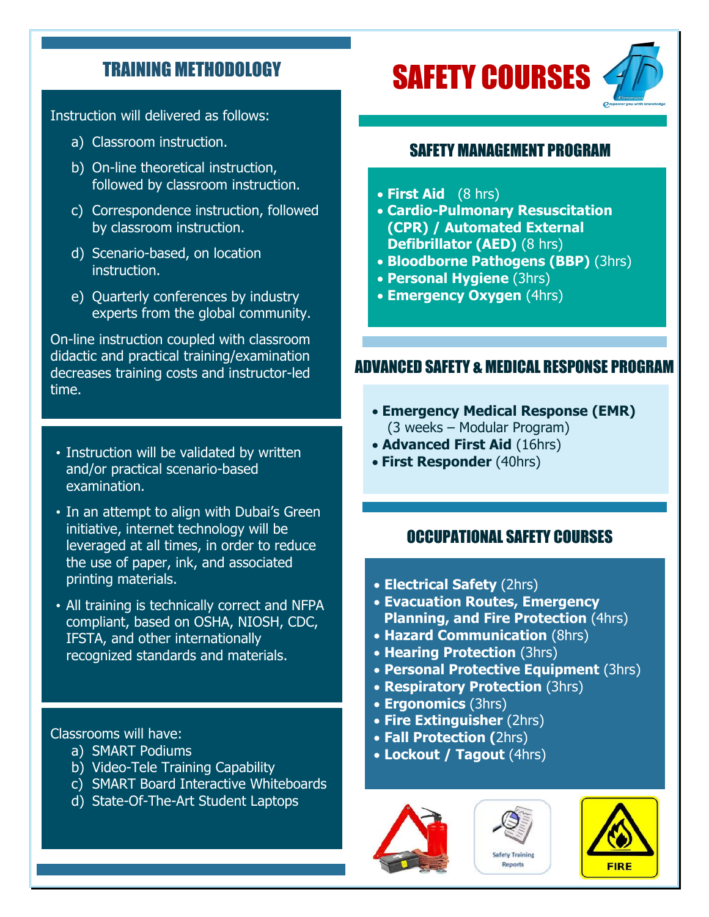### TRAINING METHODOLOGY

Instruction will delivered as follows:

- a) Classroom instruction.
- b) On-line theoretical instruction, followed by classroom instruction.
- c) Correspondence instruction, followed by classroom instruction.
- d) Scenario-based, on location instruction.
- e) Quarterly conferences by industry experts from the global community.

On-line instruction coupled with classroom didactic and practical training/examination decreases training costs and instructor-led time.

- Instruction will be validated by written and/or practical scenario-based examination.
- In an attempt to align with Dubai's Green initiative, internet technology will be leveraged at all times, in order to reduce the use of paper, ink, and associated printing materials.
- All training is technically correct and NFPA compliant, based on OSHA, NIOSH, CDC, IFSTA, and other internationally recognized standards and materials.

Classrooms will have:

- a) SMART Podiums
- b) Video-Tele Training Capability
- c) SMART Board Interactive Whiteboards
- d) State-Of-The-Art Student Laptops

# SAFETY COURSES



#### SAFETY MANAGEMENT PROGRAM

- **First Aid** (8 hrs)
- **Cardio-Pulmonary Resuscitation (CPR) / Automated External Defibrillator (AED)** (8 hrs)
- **Bloodborne Pathogens (BBP)** (3hrs)
- **Personal Hygiene** (3hrs)
- **Emergency Oxygen** (4hrs)

#### ADVANCED SAFETY & MEDICAL RESPONSE PROGRAM

- **Emergency Medical Response (EMR)**  (3 weeks – Modular Program)
- **Advanced First Aid** (16hrs)
- **First Responder** (40hrs)

#### OCCUPATIONAL SAFETY COURSES

- **Electrical Safety** (2hrs)
- **Evacuation Routes, Emergency Planning, and Fire Protection** (4hrs)
- **Hazard Communication** (8hrs)
- **Hearing Protection** (3hrs)
- **Personal Protective Equipment** (3hrs)
- **Respiratory Protection** (3hrs)
- **Ergonomics** (3hrs)
- **Fire Extinguisher** (2hrs)
- **Fall Protection (**2hrs)
- **Lockout / Tagout** (4hrs)





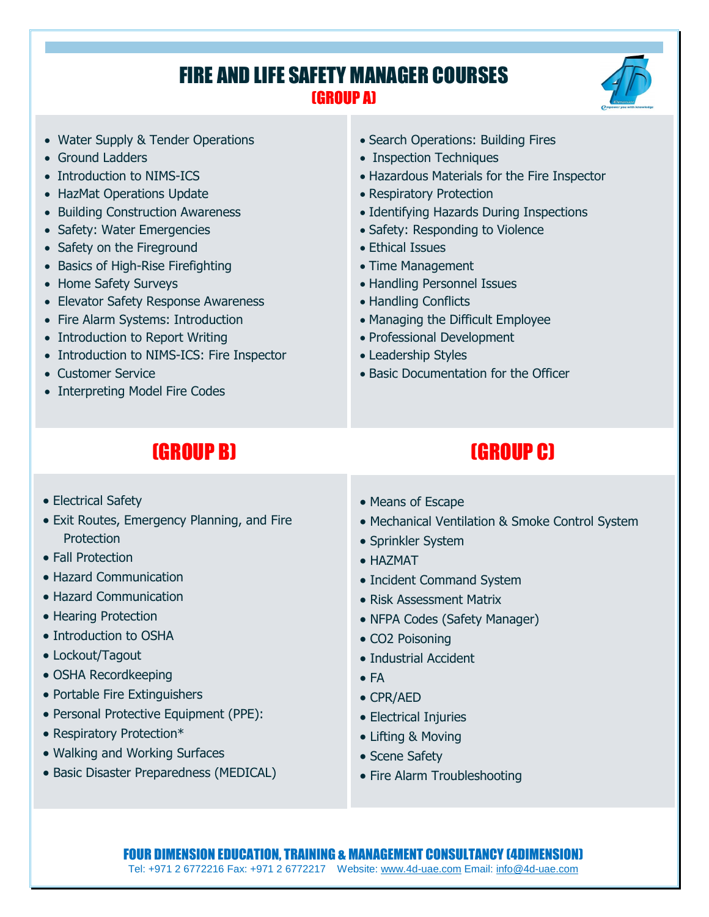## FIRE AND LIFE SAFETY MANAGER COURSES (GROUP A)



- Water Supply & Tender Operations
- Ground Ladders
- Introduction to NIMS-ICS
- HazMat Operations Update
- Building Construction Awareness
- Safety: Water Emergencies
- Safety on the Fireground
- Basics of High-Rise Firefighting
- Home Safety Surveys
- Elevator Safety Response Awareness
- Fire Alarm Systems: Introduction
- Introduction to Report Writing
- Introduction to NIMS-ICS: Fire Inspector
- Customer Service
- Interpreting Model Fire Codes
- Search Operations: Building Fires
- Inspection Techniques
- Hazardous Materials for the Fire Inspector
- Respiratory Protection
- Identifying Hazards During Inspections
- Safety: Responding to Violence
- Ethical Issues
- Time Management
- Handling Personnel Issues
- Handling Conflicts
- Managing the Difficult Employee
- Professional Development
- Leadership Styles
- Basic Documentation for the Officer

# (GROUP B) (GROUP C)

- Electrical Safety
- Exit Routes, Emergency Planning, and Fire **Protection**
- Fall Protection
- Hazard Communication
- Hazard Communication
- Hearing Protection
- Introduction to OSHA
- Lockout/Tagout
- OSHA Recordkeeping
- Portable Fire Extinguishers
- Personal Protective Equipment (PPE):
- Respiratory Protection\*
- Walking and Working Surfaces
- Basic Disaster Preparedness (MEDICAL)
- Means of Escape
- Mechanical Ventilation & Smoke Control System
- Sprinkler System
- HAZMAT
- Incident Command System
- Risk Assessment Matrix
- NFPA Codes (Safety Manager)
- CO2 Poisoning
- Industrial Accident
- $\bullet$  FA
- CPR/AED
- Electrical Injuries
- Lifting & Moving
- Scene Safety
- Fire Alarm Troubleshooting

#### FOUR DIMENSION EDUCATION, TRAINING & MANAGEMENT CONSULTANCY (4DIMENSION) Tel: +971 2 6772216 Fax: +971 2 6772217 Website: [www.4d-uae.com](http://www.4d-uae.com/) Email[: info@4d-uae.com](mailto:info@4d-uae.com)